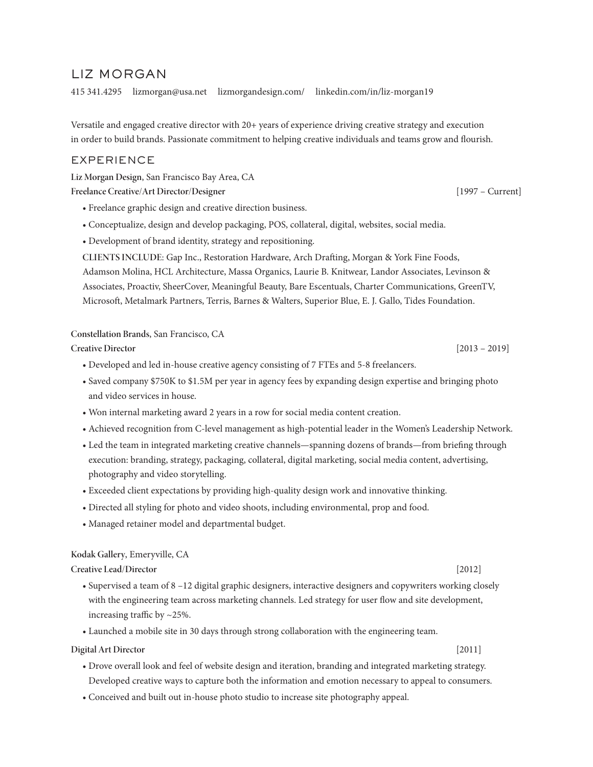# LIZ MORGAN

415 341.4295 lizmorgan@usa.net lizmorgandesign.com/ linkedin.com/in/liz-morgan19

Versatile and engaged creative director with 20+ years of experience driving creative strategy and execution in order to build brands. Passionate commitment to helping creative individuals and teams grow and flourish.

# EXPERIENCE

**Liz Morgan Design**, San Francisco Bay Area, CA

**Freelance Creative/Art Director/Designer** [1997 – Current]

- Freelance graphic design and creative direction business.
- Conceptualize, design and develop packaging, POS, collateral, digital, websites, social media.
- Development of brand identity, strategy and repositioning.

 **CLIENTS INCLUDE:** Gap Inc., Restoration Hardware, Arch Drafting, Morgan & York Fine Foods, Adamson Molina, HCL Architecture, Massa Organics, Laurie B. Knitwear, Landor Associates, Levinson & Associates, Proactiv, SheerCover, Meaningful Beauty, Bare Escentuals, Charter Communications, GreenTV, Microsoft, Metalmark Partners, Terris, Barnes & Walters, Superior Blue, E. J. Gallo, Tides Foundation.

**Constellation Brands**, San Francisco, CA

**Creative Director** [2013 – 2019]

- Developed and led in-house creative agency consisting of 7 FTEs and 5-8 freelancers.
- Saved company \$750K to \$1.5M per year in agency fees by expanding design expertise and bringing photo and video services in house.
- Won internal marketing award 2 years in a row for social media content creation.
- Achieved recognition from C-level management as high-potential leader in the Women's Leadership Network.
- Led the team in integrated marketing creative channels—spanning dozens of brands—from briefing through execution: branding, strategy, packaging, collateral, digital marketing, social media content, advertising, photography and video storytelling.
- Exceeded client expectations by providing high-quality design work and innovative thinking.
- Directed all styling for photo and video shoots, including environmental, prop and food.
- Managed retainer model and departmental budget.

#### **Kodak Gallery**, Emeryville, CA

**Creative Lead/Director** [2012]

- Supervised a team of 8 –12 digital graphic designers, interactive designers and copywriters working closely with the engineering team across marketing channels. Led strategy for user flow and site development, increasing traffic by ~25%.
- Launched a mobile site in 30 days through strong collaboration with the engineering team.

#### **Digital Art Director** [2011]

- Drove overall look and feel of website design and iteration, branding and integrated marketing strategy. Developed creative ways to capture both the information and emotion necessary to appeal to consumers.
- Conceived and built out in-house photo studio to increase site photography appeal.